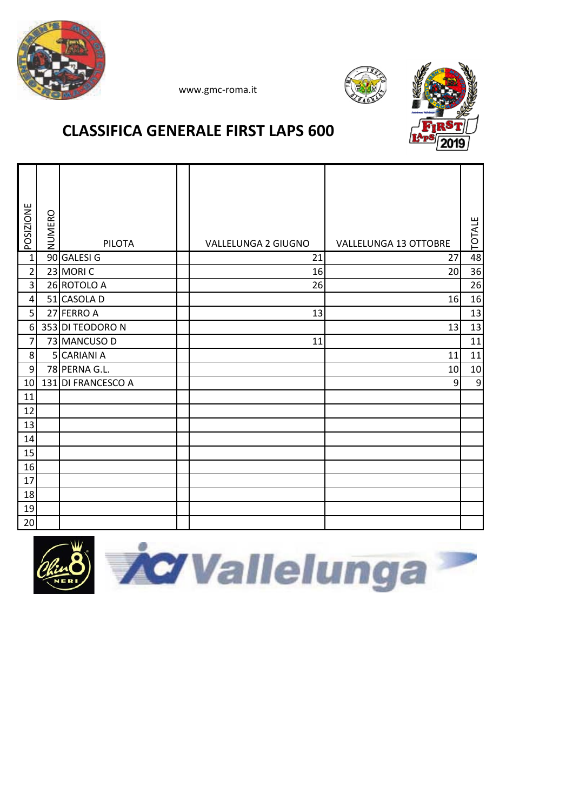





## **CLASSIFICA GENERALE FIRST LAPS 600**

| POSIZIONE        | NUMERO | PILOTA             | VALLELUNGA 2 GIUGNO | <b>VALLELUNGA 13 OTTOBRE</b> | <b>TOTALE</b> |
|------------------|--------|--------------------|---------------------|------------------------------|---------------|
| $\mathbf{1}$     |        | 90 GALESI G        | 21                  | 27                           | 48            |
| $\overline{2}$   |        | 23 MORIC           | 16                  | 20                           | 36            |
| $\overline{3}$   |        | 26 ROTOLO A        | 26                  |                              | 26            |
| 4                |        | 51 CASOLA D        |                     | 16                           | 16            |
| 5                |        | 27 FERRO A         | 13                  |                              | 13            |
| $\boldsymbol{6}$ |        | 353 DI TEODORO N   |                     | 13                           | 13            |
| $\overline{7}$   |        | 73 MANCUSO D       | 11                  |                              | 11            |
| 8                |        | 5 CARIANI A        |                     | 11                           | 11            |
| $\overline{9}$   |        | 78 PERNA G.L.      |                     | 10                           | 10            |
| 10               |        | 131 DI FRANCESCO A |                     | 9                            | $9\,$         |
| 11               |        |                    |                     |                              |               |
| 12               |        |                    |                     |                              |               |
| 13               |        |                    |                     |                              |               |
| 14               |        |                    |                     |                              |               |
| 15               |        |                    |                     |                              |               |
| 16               |        |                    |                     |                              |               |
| 17               |        |                    |                     |                              |               |
| 18               |        |                    |                     |                              |               |
| 19               |        |                    |                     |                              |               |
| 20               |        |                    |                     |                              |               |

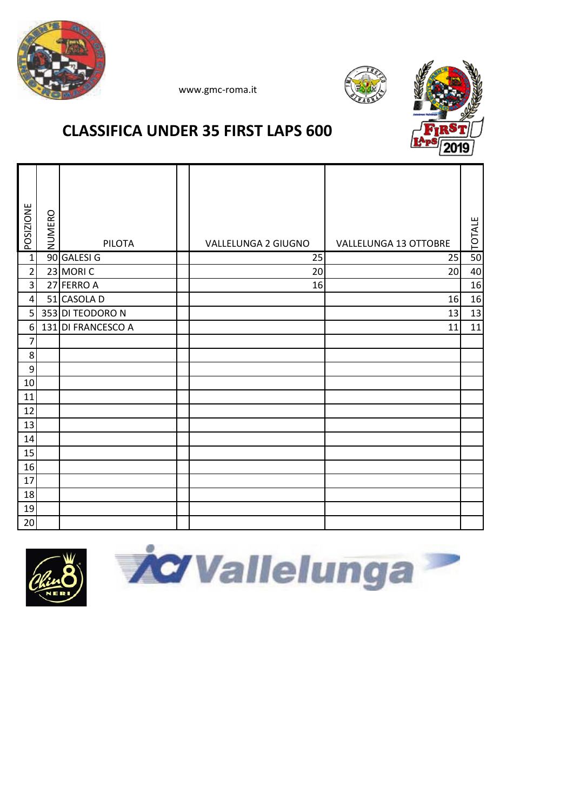





# **CLASSIFICA UNDER 35 FIRST LAPS 600**

| <b>POSIZIONE</b>        | NUMERO | <b>PILOTA</b>      | VALLELUNGA 2 GIUGNO | <b>VALLELUNGA 13 OTTOBRE</b> | TOTALE |
|-------------------------|--------|--------------------|---------------------|------------------------------|--------|
| $\overline{1}$          |        | 90 GALESI G        | 25                  | 25                           | 50     |
| $\overline{2}$          |        | 23 MORIC           | 20                  | 20                           | 40     |
| $\overline{\mathbf{3}}$ |        | 27 FERRO A         | 16                  |                              | 16     |
| $\vert$                 |        | 51 CASOLA D        |                     | 16                           | 16     |
| 5                       |        | 353 DI TEODORO N   |                     | 13                           | 13     |
| $6\,$                   |        | 131 DI FRANCESCO A |                     | 11                           | 11     |
| $\overline{7}$          |        |                    |                     |                              |        |
| $\,8$                   |        |                    |                     |                              |        |
| $\boldsymbol{9}$        |        |                    |                     |                              |        |
| 10                      |        |                    |                     |                              |        |
| 11                      |        |                    |                     |                              |        |
| 12                      |        |                    |                     |                              |        |
| 13                      |        |                    |                     |                              |        |
| 14                      |        |                    |                     |                              |        |
| 15                      |        |                    |                     |                              |        |
| 16                      |        |                    |                     |                              |        |
| 17                      |        |                    |                     |                              |        |
| 18                      |        |                    |                     |                              |        |
| 19                      |        |                    |                     |                              |        |
| 20                      |        |                    |                     |                              |        |



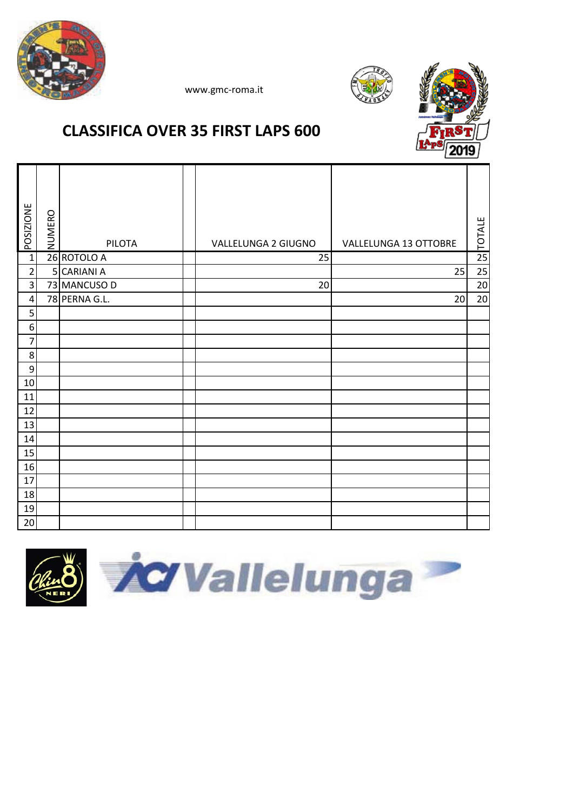





# **CLASSIFICA OVER 35 FIRST LAPS 600**

| <b>POSIZIONE</b> | NUMERO | <b>PILOTA</b> | VALLELUNGA 2 GIUGNO | VALLELUNGA 13 OTTOBRE | <b>TOTALE</b> |
|------------------|--------|---------------|---------------------|-----------------------|---------------|
| $\overline{1}$   |        | 26 ROTOLO A   | 25                  |                       | 25            |
| $\overline{2}$   |        | 5 CARIANI A   |                     | 25                    | 25            |
| 3                |        | 73 MANCUSO D  | 20                  |                       | $20\,$        |
| $\overline{4}$   |        | 78 PERNA G.L. |                     | 20                    | 20            |
| 5                |        |               |                     |                       |               |
| $\boldsymbol{6}$ |        |               |                     |                       |               |
| $\overline{7}$   |        |               |                     |                       |               |
| 8                |        |               |                     |                       |               |
| $\boldsymbol{9}$ |        |               |                     |                       |               |
| $10\,$           |        |               |                     |                       |               |
| 11               |        |               |                     |                       |               |
| 12               |        |               |                     |                       |               |
| 13               |        |               |                     |                       |               |
| 14               |        |               |                     |                       |               |
| 15               |        |               |                     |                       |               |
| 16               |        |               |                     |                       |               |
| 17               |        |               |                     |                       |               |
| 18               |        |               |                     |                       |               |
| 19               |        |               |                     |                       |               |
| 20               |        |               |                     |                       |               |

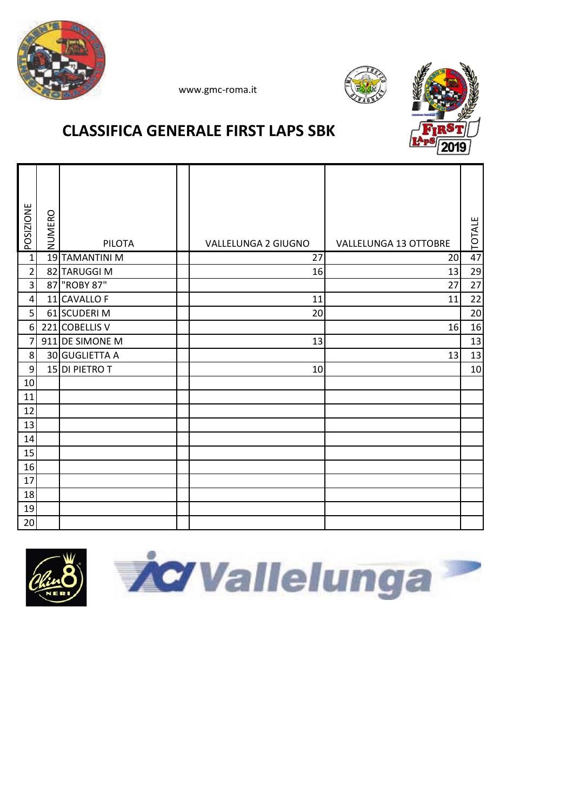





## **CLASSIFICA GENERALE FIRST LAPS SBK**

| POSIZIONE               | NUMERO |                 |                     |                              | <b>TOTALE</b> |
|-------------------------|--------|-----------------|---------------------|------------------------------|---------------|
|                         |        | <b>PILOTA</b>   | VALLELUNGA 2 GIUGNO | <b>VALLELUNGA 13 OTTOBRE</b> |               |
| $\mathbf{1}$            |        | 19 TAMANTINI M  | 27                  | 20                           | 47            |
| $\overline{2}$          |        | 82 TARUGGI M    | 16                  | 13                           | 29            |
| $\overline{\mathbf{3}}$ |        | 87 "ROBY 87"    |                     | 27                           | 27            |
| $\sqrt{4}$              |        | 11 CAVALLO F    | 11                  | 11                           | 22            |
| 5                       |        | 61 SCUDERI M    | 20                  |                              | 20            |
| 6                       |        | 221 COBELLIS V  |                     | 16                           | 16            |
| 7                       |        | 911 DE SIMONE M | 13                  |                              | 13            |
| 8                       |        | 30 GUGLIETTA A  |                     | 13                           | 13            |
| 9                       |        | 15 DI PIETRO T  | 10                  |                              | 10            |
| 10                      |        |                 |                     |                              |               |
| 11                      |        |                 |                     |                              |               |
| 12                      |        |                 |                     |                              |               |
| 13                      |        |                 |                     |                              |               |
| 14                      |        |                 |                     |                              |               |
| 15                      |        |                 |                     |                              |               |
| 16                      |        |                 |                     |                              |               |
| 17                      |        |                 |                     |                              |               |
| 18                      |        |                 |                     |                              |               |
| 19                      |        |                 |                     |                              |               |
| 20                      |        |                 |                     |                              |               |



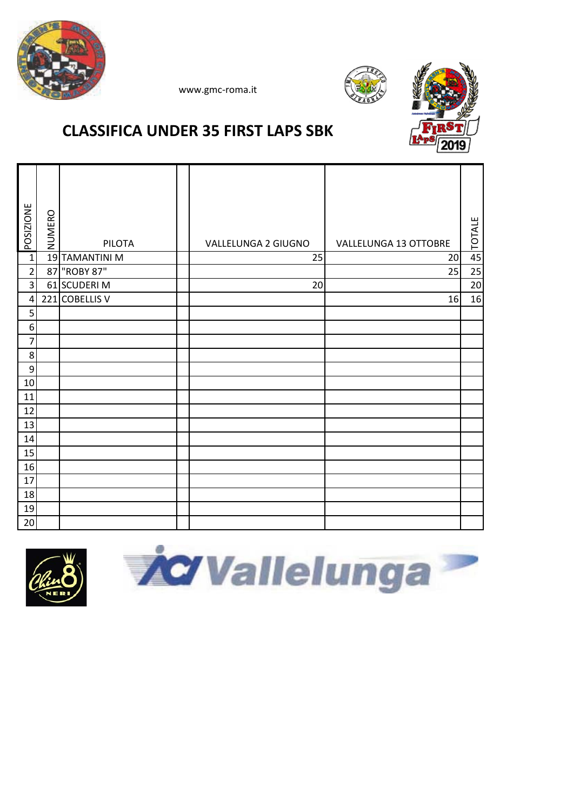





# **CLASSIFICA UNDER 35 FIRST LAPS SBK**

| POSIZIONE        | NUMERO | <b>PILOTA</b>  | VALLELUNGA 2 GIUGNO | VALLELUNGA 13 OTTOBRE | <b>TOTALE</b> |
|------------------|--------|----------------|---------------------|-----------------------|---------------|
| $\overline{1}$   |        | 19 TAMANTINI M | 25                  | 20                    | 45            |
| $\overline{2}$   | 87     | "ROBY 87"      |                     | 25                    | 25            |
| $\overline{3}$   |        | 61 SCUDERI M   | 20                  |                       | 20            |
| $\pmb{4}$        |        | 221 COBELLIS V |                     | 16                    | 16            |
| 5                |        |                |                     |                       |               |
| $\boldsymbol{6}$ |        |                |                     |                       |               |
| $\overline{7}$   |        |                |                     |                       |               |
| 8                |        |                |                     |                       |               |
| 9                |        |                |                     |                       |               |
| 10               |        |                |                     |                       |               |
| 11               |        |                |                     |                       |               |
| 12               |        |                |                     |                       |               |
| 13               |        |                |                     |                       |               |
| 14               |        |                |                     |                       |               |
| 15               |        |                |                     |                       |               |
| 16               |        |                |                     |                       |               |
| 17               |        |                |                     |                       |               |
| 18               |        |                |                     |                       |               |
| 19               |        |                |                     |                       |               |
| 20               |        |                |                     |                       |               |